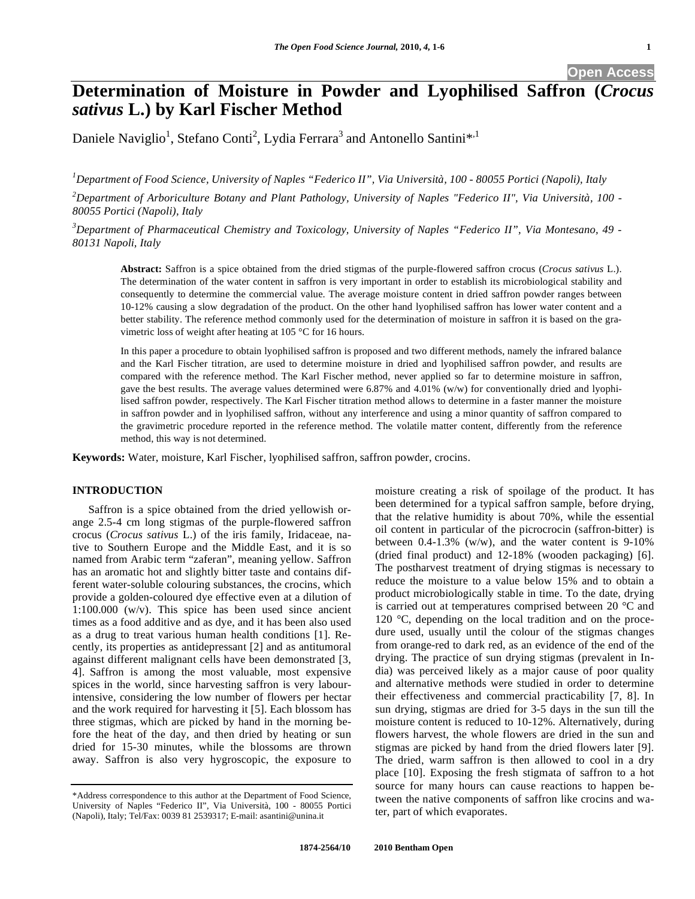# **Determination of Moisture in Powder and Lyophilised Saffron (***Crocus sativus* **L.) by Karl Fischer Method**

Daniele Naviglio<sup>1</sup>, Stefano Conti<sup>2</sup>, Lydia Ferrara<sup>3</sup> and Antonello Santini\*<sup>,1</sup>

*1 Department of Food Science, University of Naples "Federico II", Via Università, 100 - 80055 Portici (Napoli), Italy* 

*2 Department of Arboriculture Botany and Plant Pathology, University of Naples "Federico II", Via Università, 100 - 80055 Portici (Napoli), Italy* 

*3 Department of Pharmaceutical Chemistry and Toxicology, University of Naples "Federico II", Via Montesano, 49 - 80131 Napoli, Italy* 

**Abstract:** Saffron is a spice obtained from the dried stigmas of the purple-flowered saffron crocus (*Crocus sativus* L.). The determination of the water content in saffron is very important in order to establish its microbiological stability and consequently to determine the commercial value. The average moisture content in dried saffron powder ranges between 10-12% causing a slow degradation of the product. On the other hand lyophilised saffron has lower water content and a better stability. The reference method commonly used for the determination of moisture in saffron it is based on the gravimetric loss of weight after heating at 105 °C for 16 hours.

In this paper a procedure to obtain lyophilised saffron is proposed and two different methods, namely the infrared balance and the Karl Fischer titration, are used to determine moisture in dried and lyophilised saffron powder, and results are compared with the reference method. The Karl Fischer method, never applied so far to determine moisture in saffron, gave the best results. The average values determined were 6.87% and 4.01% (w/w) for conventionally dried and lyophilised saffron powder, respectively. The Karl Fischer titration method allows to determine in a faster manner the moisture in saffron powder and in lyophilised saffron, without any interference and using a minor quantity of saffron compared to the gravimetric procedure reported in the reference method. The volatile matter content, differently from the reference method, this way is not determined.

**Keywords:** Water, moisture, Karl Fischer, lyophilised saffron, saffron powder, crocins.

# **INTRODUCTION**

Saffron is a spice obtained from the dried yellowish orange 2.5-4 cm long stigmas of the purple-flowered saffron crocus (*Crocus sativus* L.) of the iris family, Iridaceae, native to Southern Europe and the Middle East, and it is so named from Arabic term "zaferan", meaning yellow. Saffron has an aromatic hot and slightly bitter taste and contains different water-soluble colouring substances, the crocins, which provide a golden-coloured dye effective even at a dilution of 1:100.000 (w/v). This spice has been used since ancient times as a food additive and as dye, and it has been also used as a drug to treat various human health conditions [1]. Recently, its properties as antidepressant [2] and as antitumoral against different malignant cells have been demonstrated [3, 4]. Saffron is among the most valuable, most expensive spices in the world, since harvesting saffron is very labourintensive, considering the low number of flowers per hectar and the work required for harvesting it [5]. Each blossom has three stigmas, which are picked by hand in the morning before the heat of the day, and then dried by heating or sun dried for 15-30 minutes, while the blossoms are thrown away. Saffron is also very hygroscopic, the exposure to

moisture creating a risk of spoilage of the product. It has been determined for a typical saffron sample, before drying, that the relative humidity is about 70%, while the essential oil content in particular of the picrocrocin (saffron-bitter) is between  $0.4$ -1.3% (w/w), and the water content is 9-10% (dried final product) and 12-18% (wooden packaging) [6]. The postharvest treatment of drying stigmas is necessary to reduce the moisture to a value below 15% and to obtain a product microbiologically stable in time. To the date, drying is carried out at temperatures comprised between 20 °C and 120 °C, depending on the local tradition and on the procedure used, usually until the colour of the stigmas changes from orange-red to dark red, as an evidence of the end of the drying. The practice of sun drying stigmas (prevalent in India) was perceived likely as a major cause of poor quality and alternative methods were studied in order to determine their effectiveness and commercial practicability [7, 8]. In sun drying, stigmas are dried for 3-5 days in the sun till the moisture content is reduced to 10-12%. Alternatively, during flowers harvest, the whole flowers are dried in the sun and stigmas are picked by hand from the dried flowers later [9]. The dried, warm saffron is then allowed to cool in a dry place [10]. Exposing the fresh stigmata of saffron to a hot source for many hours can cause reactions to happen between the native components of saffron like crocins and water, part of which evaporates.

<sup>\*</sup>Address correspondence to this author at the Department of Food Science, University of Naples "Federico II", Via Università, 100 - 80055 Portici (Napoli), Italy; Tel/Fax: 0039 81 2539317; E-mail: asantini@unina.it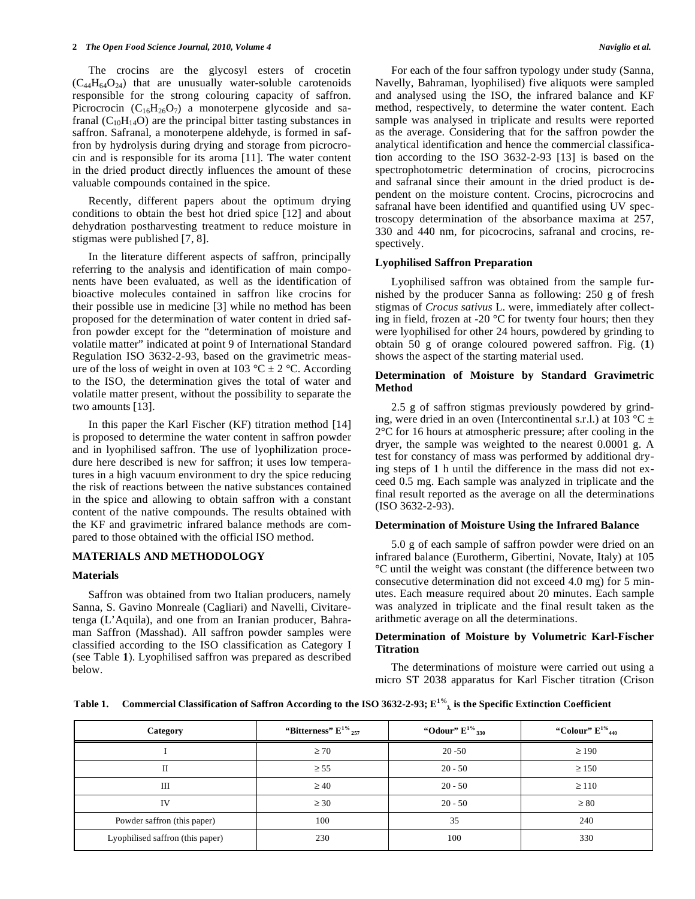The crocins are the glycosyl esters of crocetin  $(C_{44}H_{64}O_{24})$  that are unusually water-soluble carotenoids responsible for the strong colouring capacity of saffron. Picrocrocin  $(C_{16}H_{26}O_7)$  a monoterpene glycoside and safranal  $(C_{10}H_{14}O)$  are the principal bitter tasting substances in saffron. Safranal, a monoterpene aldehyde, is formed in saffron by hydrolysis during drying and storage from picrocrocin and is responsible for its aroma [11]. The water content in the dried product directly influences the amount of these valuable compounds contained in the spice.

Recently, different papers about the optimum drying conditions to obtain the best hot dried spice [12] and about dehydration postharvesting treatment to reduce moisture in stigmas were published [7, 8].

In the literature different aspects of saffron, principally referring to the analysis and identification of main components have been evaluated, as well as the identification of bioactive molecules contained in saffron like crocins for their possible use in medicine [3] while no method has been proposed for the determination of water content in dried saffron powder except for the "determination of moisture and volatile matter" indicated at point 9 of International Standard Regulation ISO 3632-2-93, based on the gravimetric measure of the loss of weight in oven at 103 °C  $\pm$  2 °C. According to the ISO, the determination gives the total of water and volatile matter present, without the possibility to separate the two amounts [13].

In this paper the Karl Fischer (KF) titration method [14] is proposed to determine the water content in saffron powder and in lyophilised saffron. The use of lyophilization procedure here described is new for saffron; it uses low temperatures in a high vacuum environment to dry the spice reducing the risk of reactions between the native substances contained in the spice and allowing to obtain saffron with a constant content of the native compounds. The results obtained with the KF and gravimetric infrared balance methods are compared to those obtained with the official ISO method.

### **MATERIALS AND METHODOLOGY**

#### **Materials**

Saffron was obtained from two Italian producers, namely Sanna, S. Gavino Monreale (Cagliari) and Navelli, Civitaretenga (L'Aquila), and one from an Iranian producer, Bahraman Saffron (Masshad). All saffron powder samples were classified according to the ISO classification as Category I (see Table **1**). Lyophilised saffron was prepared as described below.

For each of the four saffron typology under study (Sanna, Navelly, Bahraman, lyophilised) five aliquots were sampled and analysed using the ISO, the infrared balance and KF method, respectively, to determine the water content. Each sample was analysed in triplicate and results were reported as the average. Considering that for the saffron powder the analytical identification and hence the commercial classification according to the ISO 3632-2-93 [13] is based on the spectrophotometric determination of crocins, picrocrocins and safranal since their amount in the dried product is dependent on the moisture content. Crocins, picrocrocins and safranal have been identified and quantified using UV spectroscopy determination of the absorbance maxima at 257, 330 and 440 nm, for picocrocins, safranal and crocins, respectively.

## **Lyophilised Saffron Preparation**

Lyophilised saffron was obtained from the sample furnished by the producer Sanna as following: 250 g of fresh stigmas of *Crocus sativus* L. were, immediately after collecting in field, frozen at -20 °C for twenty four hours; then they were lyophilised for other 24 hours, powdered by grinding to obtain 50 g of orange coloured powered saffron. Fig. (**1**) shows the aspect of the starting material used.

## **Determination of Moisture by Standard Gravimetric Method**

2.5 g of saffron stigmas previously powdered by grinding, were dried in an oven (Intercontinental s.r.l.) at 103 °C  $\pm$ 2°C for 16 hours at atmospheric pressure; after cooling in the dryer, the sample was weighted to the nearest 0.0001 g. A test for constancy of mass was performed by additional drying steps of 1 h until the difference in the mass did not exceed 0.5 mg. Each sample was analyzed in triplicate and the final result reported as the average on all the determinations (ISO 3632-2-93).

### **Determination of Moisture Using the Infrared Balance**

5.0 g of each sample of saffron powder were dried on an infrared balance (Eurotherm, Gibertini, Novate, Italy) at 105 °C until the weight was constant (the difference between two consecutive determination did not exceed 4.0 mg) for 5 minutes. Each measure required about 20 minutes. Each sample was analyzed in triplicate and the final result taken as the arithmetic average on all the determinations.

## **Determination of Moisture by Volumetric Karl-Fischer Titration**

The determinations of moisture were carried out using a micro ST 2038 apparatus for Karl Fischer titration (Crison

|  | Table 1. Commercial Classification of Saffron According to the ISO 3632-2-93; $E^{1\%}$ is the Specific Extinction Coefficient |
|--|--------------------------------------------------------------------------------------------------------------------------------|
|--|--------------------------------------------------------------------------------------------------------------------------------|

| Category                         | "Bitterness" $E^{1\%}$ <sub>257</sub> | "Odour" $E^{1\%}$ <sub>330</sub> | "Colour" $E^{1\%}_{440}$ |
|----------------------------------|---------------------------------------|----------------------------------|--------------------------|
|                                  | $\geq 70$                             | $20 - 50$                        | $\geq$ 190               |
|                                  | $\geq 55$                             | $20 - 50$                        | $\geq 150$               |
| Ш                                | $\geq 40$                             | $20 - 50$                        | $\geq$ 110               |
| IV                               | $\geq 30$                             | $20 - 50$                        | $\geq 80$                |
| Powder saffron (this paper)      | 100                                   | 35                               | 240                      |
| Lyophilised saffron (this paper) | 230                                   | 100                              | 330                      |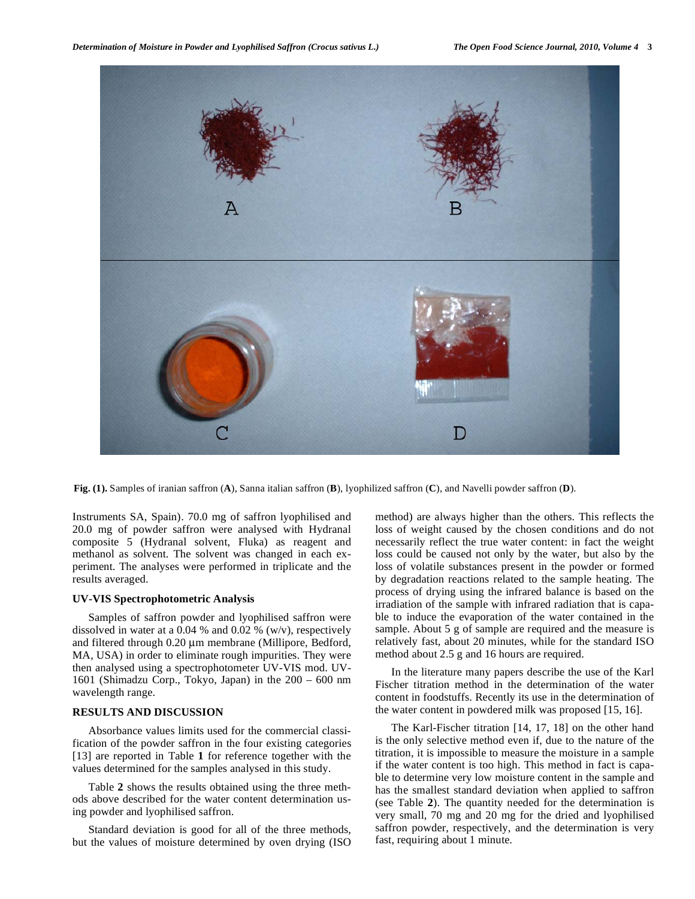

**Fig. (1).** Samples of iranian saffron (**A**), Sanna italian saffron (**B**), lyophilized saffron (**C**), and Navelli powder saffron (**D**).

Instruments SA, Spain). 70.0 mg of saffron lyophilised and 20.0 mg of powder saffron were analysed with Hydranal composite 5 (Hydranal solvent, Fluka) as reagent and methanol as solvent. The solvent was changed in each experiment. The analyses were performed in triplicate and the results averaged.

## **UV-VIS Spectrophotometric Analysis**

Samples of saffron powder and lyophilised saffron were dissolved in water at a 0.04 % and 0.02 % (w/v), respectively and filtered through 0.20 μm membrane (Millipore, Bedford, MA, USA) in order to eliminate rough impurities. They were then analysed using a spectrophotometer UV-VIS mod. UV-1601 (Shimadzu Corp., Tokyo, Japan) in the 200 – 600 nm wavelength range.

# **RESULTS AND DISCUSSION**

Absorbance values limits used for the commercial classification of the powder saffron in the four existing categories [13] are reported in Table **1** for reference together with the values determined for the samples analysed in this study.

Table **2** shows the results obtained using the three methods above described for the water content determination using powder and lyophilised saffron.

Standard deviation is good for all of the three methods, but the values of moisture determined by oven drying (ISO method) are always higher than the others. This reflects the loss of weight caused by the chosen conditions and do not necessarily reflect the true water content: in fact the weight loss could be caused not only by the water, but also by the loss of volatile substances present in the powder or formed by degradation reactions related to the sample heating. The process of drying using the infrared balance is based on the irradiation of the sample with infrared radiation that is capable to induce the evaporation of the water contained in the sample. About 5 g of sample are required and the measure is relatively fast, about 20 minutes, while for the standard ISO method about 2.5 g and 16 hours are required.

In the literature many papers describe the use of the Karl Fischer titration method in the determination of the water content in foodstuffs. Recently its use in the determination of the water content in powdered milk was proposed [15, 16].

The Karl-Fischer titration [14, 17, 18] on the other hand is the only selective method even if, due to the nature of the titration, it is impossible to measure the moisture in a sample if the water content is too high. This method in fact is capable to determine very low moisture content in the sample and has the smallest standard deviation when applied to saffron (see Table **2**). The quantity needed for the determination is very small, 70 mg and 20 mg for the dried and lyophilised saffron powder, respectively, and the determination is very fast, requiring about 1 minute.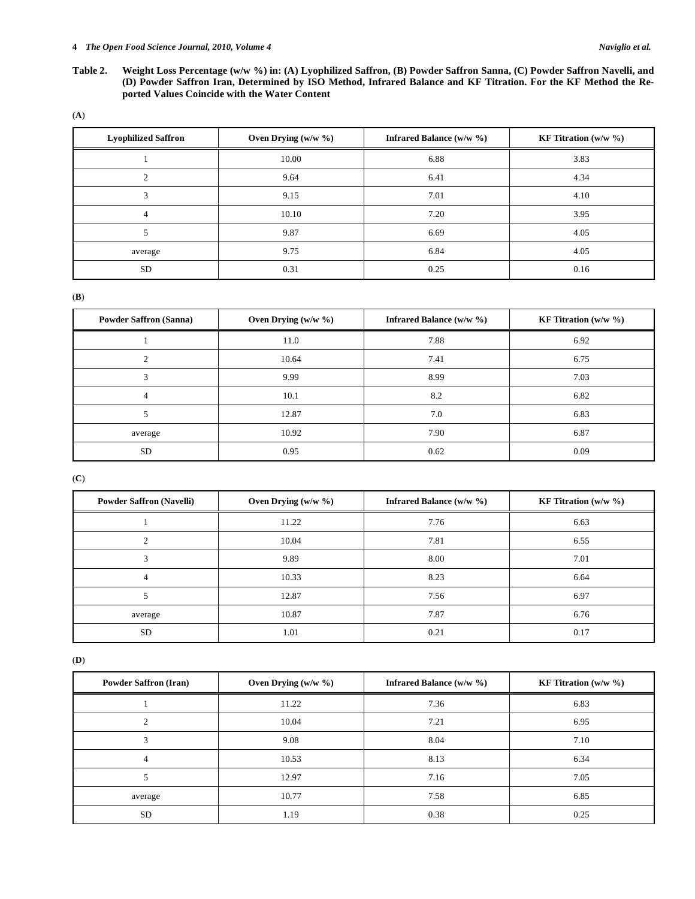#### **4** *The Open Food Science Journal, 2010, Volume 4 Naviglio et al.*

- **Table 2. Weight Loss Percentage (w/w %) in: (A) Lyophilized Saffron, (B) Powder Saffron Sanna, (C) Powder Saffron Navelli, and (D) Powder Saffron Iran, Determined by ISO Method, Infrared Balance and KF Titration. For the KF Method the Reported Values Coincide with the Water Content**
- (**A**)

| <b>Lyophilized Saffron</b> | Oven Drying $(w/w \gamma_0)$ | Infrared Balance $(w/w \gamma_0)$ | <b>KF</b> Titration $(w/w \%)$ |
|----------------------------|------------------------------|-----------------------------------|--------------------------------|
|                            | 10.00                        | 6.88                              | 3.83                           |
| $\mathfrak{D}$             | 9.64                         | 6.41                              | 4.34                           |
|                            | 9.15                         | 7.01                              | 4.10                           |
| 4                          | 10.10                        | 7.20                              | 3.95                           |
|                            | 9.87                         | 6.69                              | 4.05                           |
| average                    | 9.75                         | 6.84                              | 4.05                           |
| <b>SD</b>                  | 0.31                         | 0.25                              | 0.16                           |

(**B**)

| <b>Powder Saffron (Sanna)</b> | Oven Drying $(w/w \gamma_0)$ | Infrared Balance $(w/w \gamma_0)$ | <b>KF</b> Titration $(w/w \%)$ |
|-------------------------------|------------------------------|-----------------------------------|--------------------------------|
|                               | 11.0                         | 7.88                              | 6.92                           |
| $\Omega$                      | 10.64                        | 7.41                              | 6.75                           |
| $\overline{\mathbf{c}}$       | 9.99                         | 8.99                              | 7.03                           |
| 4                             | 10.1                         | 8.2                               | 6.82                           |
|                               | 12.87                        | 7.0                               | 6.83                           |
| average                       | 10.92                        | 7.90                              | 6.87                           |
| <b>SD</b>                     | 0.95                         | 0.62                              | 0.09                           |

(**C**)

| <b>Powder Saffron (Navelli)</b> | Oven Drying $(w/w \gamma_0)$ | Infrared Balance $(w/w \gamma_0)$ | <b>KF Titration</b> (w/w $\%$ ) |
|---------------------------------|------------------------------|-----------------------------------|---------------------------------|
|                                 | 11.22                        | 7.76                              | 6.63                            |
| ∍                               | 10.04                        | 7.81                              | 6.55                            |
| ◠                               | 9.89                         | 8.00                              | 7.01                            |
| $\overline{4}$                  | 10.33                        | 8.23                              | 6.64                            |
|                                 | 12.87                        | 7.56                              | 6.97                            |
| average                         | 10.87                        | 7.87                              | 6.76                            |
| <b>SD</b>                       | 1.01                         | 0.21                              | 0.17                            |

(**D**)

| <b>Powder Saffron (Iran)</b> | Oven Drying $(w/w \gamma_0)$ | <b>Infrared Balance (w/w %)</b> | <b>KF</b> Titration $(w/w \%)$ |
|------------------------------|------------------------------|---------------------------------|--------------------------------|
|                              | 11.22                        | 7.36                            | 6.83                           |
| ◠                            | 10.04                        | 7.21                            | 6.95                           |
|                              | 9.08                         | 8.04                            | 7.10                           |
| 4                            | 10.53                        | 8.13                            | 6.34                           |
|                              | 12.97                        | 7.16                            | 7.05                           |
| average                      | 10.77                        | 7.58                            | 6.85                           |
| SD                           | 1.19                         | 0.38                            | 0.25                           |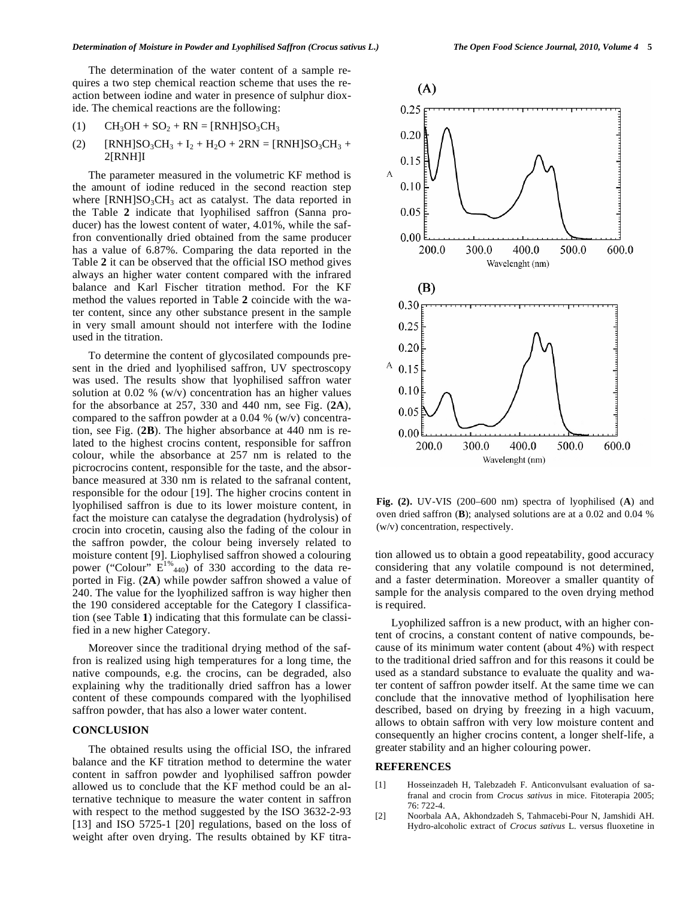The determination of the water content of a sample requires a two step chemical reaction scheme that uses the reaction between iodine and water in presence of sulphur dioxide. The chemical reactions are the following:

$$
(1) \qquad CH_3OH + SO_2 + RN = [RNH]SO_3CH_3
$$

(2)  $[RNH]SO_3CH_3 + I_2 + H_2O + 2RN = [RNH]SO_3CH_3 +$ 2[RNH]I

The parameter measured in the volumetric KF method is the amount of iodine reduced in the second reaction step where  $\text{[RNH]}SO_3CH_3$  act as catalyst. The data reported in the Table **2** indicate that lyophilised saffron (Sanna producer) has the lowest content of water, 4.01%, while the saffron conventionally dried obtained from the same producer has a value of 6.87%. Comparing the data reported in the Table **2** it can be observed that the official ISO method gives always an higher water content compared with the infrared balance and Karl Fischer titration method. For the KF method the values reported in Table **2** coincide with the water content, since any other substance present in the sample in very small amount should not interfere with the Iodine used in the titration.

To determine the content of glycosilated compounds present in the dried and lyophilised saffron, UV spectroscopy was used. The results show that lyophilised saffron water solution at 0.02 % (w/v) concentration has an higher values for the absorbance at 257, 330 and 440 nm, see Fig. (**2A**), compared to the saffron powder at a 0.04 % (w/v) concentration, see Fig. (**2B**). The higher absorbance at 440 nm is related to the highest crocins content, responsible for saffron colour, while the absorbance at 257 nm is related to the picrocrocins content, responsible for the taste, and the absorbance measured at 330 nm is related to the safranal content, responsible for the odour [19]. The higher crocins content in lyophilised saffron is due to its lower moisture content, in fact the moisture can catalyse the degradation (hydrolysis) of crocin into crocetin, causing also the fading of the colour in the saffron powder, the colour being inversely related to moisture content [9]. Liophylised saffron showed a colouring power ("Colour"  $E^{1\%}_{440}$ ) of 330 according to the data reported in Fig. (**2A**) while powder saffron showed a value of 240. The value for the lyophilized saffron is way higher then the 190 considered acceptable for the Category I classification (see Table **1**) indicating that this formulate can be classified in a new higher Category.

Moreover since the traditional drying method of the saffron is realized using high temperatures for a long time, the native compounds, e.g. the crocins, can be degraded, also explaining why the traditionally dried saffron has a lower content of these compounds compared with the lyophilised saffron powder, that has also a lower water content.

# **CONCLUSION**

The obtained results using the official ISO, the infrared balance and the KF titration method to determine the water content in saffron powder and lyophilised saffron powder allowed us to conclude that the KF method could be an alternative technique to measure the water content in saffron with respect to the method suggested by the ISO 3632-2-93 [13] and ISO 5725-1 [20] regulations, based on the loss of weight after oven drying. The results obtained by KF titra-



**Fig. (2).** UV-VIS (200–600 nm) spectra of lyophilised (**A**) and oven dried saffron (**B**); analysed solutions are at a 0.02 and 0.04 % (w/v) concentration, respectively.

tion allowed us to obtain a good repeatability, good accuracy considering that any volatile compound is not determined, and a faster determination. Moreover a smaller quantity of sample for the analysis compared to the oven drying method is required.

Lyophilized saffron is a new product, with an higher content of crocins, a constant content of native compounds, because of its minimum water content (about 4%) with respect to the traditional dried saffron and for this reasons it could be used as a standard substance to evaluate the quality and water content of saffron powder itself. At the same time we can conclude that the innovative method of lyophilisation here described, based on drying by freezing in a high vacuum, allows to obtain saffron with very low moisture content and consequently an higher crocins content, a longer shelf-life, a greater stability and an higher colouring power.

### **REFERENCES**

- [1] Hosseinzadeh H, Talebzadeh F. Anticonvulsant evaluation of safranal and crocin from *Crocus sativus* in mice. Fitoterapia 2005; 76: 722-4.
- [2] Noorbala AA, Akhondzadeh S, Tahmacebi-Pour N, Jamshidi AH. Hydro-alcoholic extract of *Crocus sativus* L. versus fluoxetine in